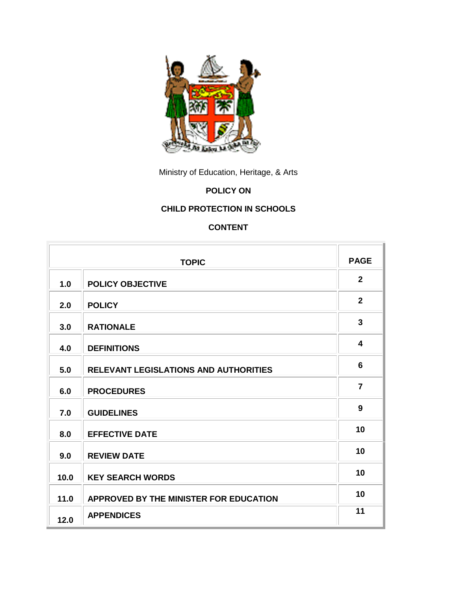

Ministry of Education, Heritage, & Arts

# **POLICY ON**

# **CHILD PROTECTION IN SCHOOLS**

# **CONTENT**

| <b>TOPIC</b> |                                              | <b>PAGE</b>             |
|--------------|----------------------------------------------|-------------------------|
| 1.0          | <b>POLICY OBJECTIVE</b>                      | $\mathbf{2}$            |
| 2.0          | <b>POLICY</b>                                | $\overline{2}$          |
| 3.0          | <b>RATIONALE</b>                             | $\overline{\mathbf{3}}$ |
| 4.0          | <b>DEFINITIONS</b>                           | 4                       |
| 5.0          | <b>RELEVANT LEGISLATIONS AND AUTHORITIES</b> | $6\phantom{1}$          |
| 6.0          | <b>PROCEDURES</b>                            | $\overline{7}$          |
| 7.0          | <b>GUIDELINES</b>                            | 9                       |
| 8.0          | <b>EFFECTIVE DATE</b>                        | 10                      |
| 9.0          | <b>REVIEW DATE</b>                           | 10                      |
| 10.0         | <b>KEY SEARCH WORDS</b>                      | 10                      |
| 11.0         | APPROVED BY THE MINISTER FOR EDUCATION       | 10                      |
| 12.0         | <b>APPENDICES</b>                            | 11                      |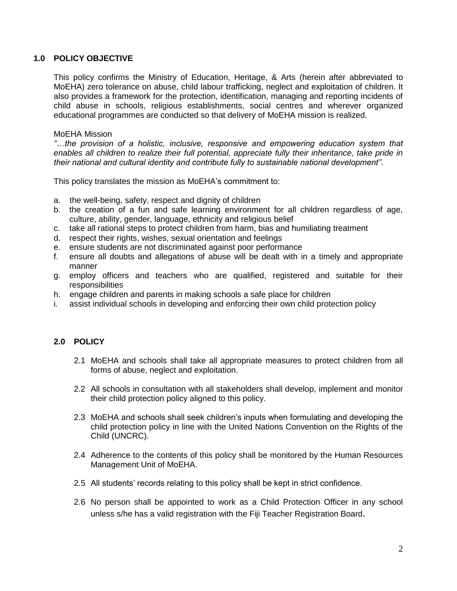# **1.0 POLICY OBJECTIVE**

This policy confirms the Ministry of Education, Heritage, & Arts (herein after abbreviated to MoEHA) zero tolerance on abuse, child labour trafficking, neglect and exploitation of children. It also provides a framework for the protection, identification, managing and reporting incidents of child abuse in schools, religious establishments, social centres and wherever organized educational programmes are conducted so that delivery of MoEHA mission is realized.

#### MoEHA Mission

*"…the provision of a holistic, inclusive, responsive and empowering education system that enables all children to realize their full potential, appreciate fully their inheritance, take pride in their national and cultural identity and contribute fully to sustainable national development"*.

This policy translates the mission as MoEHA's commitment to:

- a. the well-being, safety, respect and dignity of children
- b. the creation of a fun and safe learning environment for all children regardless of age, culture, ability, gender, language, ethnicity and religious belief
- c. take all rational steps to protect children from harm, bias and humiliating treatment
- d. respect their rights, wishes, sexual orientation and feelings
- e. ensure students are not discriminated against poor performance
- f. ensure all doubts and allegations of abuse will be dealt with in a timely and appropriate manner
- g. employ officers and teachers who are qualified, registered and suitable for their responsibilities
- h. engage children and parents in making schools a safe place for children
- i. assist individual schools in developing and enforcing their own child protection policy

# **2.0 POLICY**

- 2.1 MoEHA and schools shall take all appropriate measures to protect children from all forms of abuse, neglect and exploitation.
- 2.2 All schools in consultation with all stakeholders shall develop, implement and monitor their child protection policy aligned to this policy.
- 2.3 MoEHA and schools shall seek children's inputs when formulating and developing the child protection policy in line with the United Nations Convention on the Rights of the Child (UNCRC).
- 2.4 Adherence to the contents of this policy shall be monitored by the Human Resources Management Unit of MoEHA.
- 2.5 All students' records relating to this policy shall be kept in strict confidence.
- 2.6 No person shall be appointed to work as a Child Protection Officer in any school unless s/he has a valid registration with the Fiji Teacher Registration Board.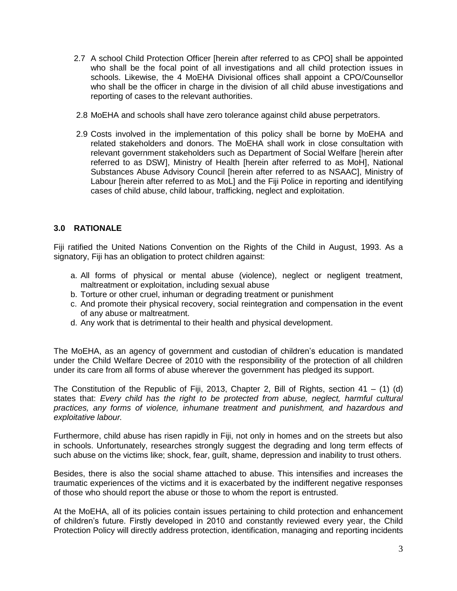- 2.7 A school Child Protection Officer [herein after referred to as CPO] shall be appointed who shall be the focal point of all investigations and all child protection issues in schools. Likewise, the 4 MoEHA Divisional offices shall appoint a CPO/Counsellor who shall be the officer in charge in the division of all child abuse investigations and reporting of cases to the relevant authorities.
- 2.8 MoEHA and schools shall have zero tolerance against child abuse perpetrators.
- 2.9 Costs involved in the implementation of this policy shall be borne by MoEHA and related stakeholders and donors. The MoEHA shall work in close consultation with relevant government stakeholders such as Department of Social Welfare [herein after referred to as DSW], Ministry of Health [herein after referred to as MoH], National Substances Abuse Advisory Council [herein after referred to as NSAAC], Ministry of Labour [herein after referred to as MoL] and the Fiji Police in reporting and identifying cases of child abuse, child labour, trafficking, neglect and exploitation.

# **3.0 RATIONALE**

Fiji ratified the United Nations Convention on the Rights of the Child in August, 1993. As a signatory, Fiji has an obligation to protect children against:

- a. All forms of physical or mental abuse (violence), neglect or negligent treatment, maltreatment or exploitation, including sexual abuse
- b. Torture or other cruel, inhuman or degrading treatment or punishment
- c. And promote their physical recovery, social reintegration and compensation in the event of any abuse or maltreatment.
- d. Any work that is detrimental to their health and physical development.

The MoEHA, as an agency of government and custodian of children's education is mandated under the Child Welfare Decree of 2010 with the responsibility of the protection of all children under its care from all forms of abuse wherever the government has pledged its support.

The Constitution of the Republic of Fiji, 2013, Chapter 2, Bill of Rights, section 41 – (1) (d) states that: *Every child has the right to be protected from abuse, neglect, harmful cultural practices, any forms of violence, inhumane treatment and punishment, and hazardous and exploitative labour.*

Furthermore, child abuse has risen rapidly in Fiji, not only in homes and on the streets but also in schools. Unfortunately, researches strongly suggest the degrading and long term effects of such abuse on the victims like; shock, fear, guilt, shame, depression and inability to trust others.

Besides, there is also the social shame attached to abuse. This intensifies and increases the traumatic experiences of the victims and it is exacerbated by the indifferent negative responses of those who should report the abuse or those to whom the report is entrusted.

At the MoEHA, all of its policies contain issues pertaining to child protection and enhancement of children's future. Firstly developed in 2010 and constantly reviewed every year, the Child Protection Policy will directly address protection, identification, managing and reporting incidents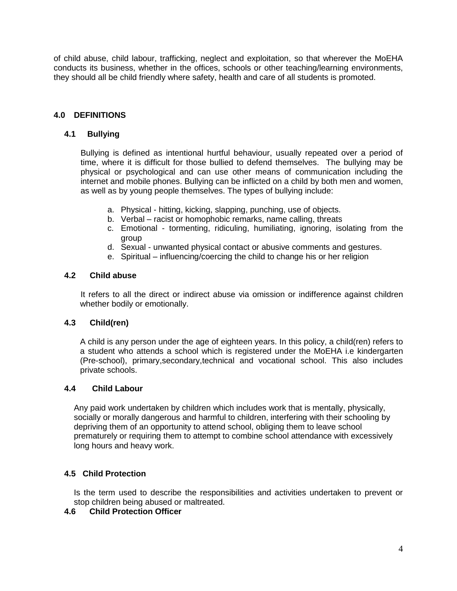of child abuse, child labour, trafficking, neglect and exploitation, so that wherever the MoEHA conducts its business, whether in the offices, schools or other teaching/learning environments, they should all be child friendly where safety, health and care of all students is promoted.

# **4.0 DEFINITIONS**

### **4.1 Bullying**

Bullying is defined as intentional hurtful behaviour, usually repeated over a period of time, where it is difficult for those bullied to defend themselves. The bullying may be physical or psychological and can use other means of communication including the internet and mobile phones. Bullying can be inflicted on a child by both men and women, as well as by young people themselves. The types of bullying include:

- a. Physical hitting, kicking, slapping, punching, use of objects.
- b. Verbal racist or homophobic remarks, name calling, threats
- c. Emotional tormenting, ridiculing, humiliating, ignoring, isolating from the group
- d. Sexual unwanted physical contact or abusive comments and gestures.
- e. Spiritual influencing/coercing the child to change his or her religion

#### **4.2 Child abuse**

It refers to all the direct or indirect abuse via omission or indifference against children whether bodily or emotionally.

# **4.3 Child(ren)**

A child is any person under the age of eighteen years. In this policy, a child(ren) refers to a student who attends a school which is registered under the MoEHA i.e kindergarten (Pre-school), primary,secondary,technical and vocational school. This also includes private schools.

#### **4.4 Child Labour**

Any paid work undertaken by children which includes work that is mentally, physically, socially or morally dangerous and harmful to children, interfering with their schooling by depriving them of an opportunity to attend school, obliging them to leave school prematurely or requiring them to attempt to combine school attendance with excessively long hours and heavy work.

# **4.5 Child Protection**

Is the term used to describe the responsibilities and activities undertaken to prevent or stop children being abused or maltreated.

#### **4.6 Child Protection Officer**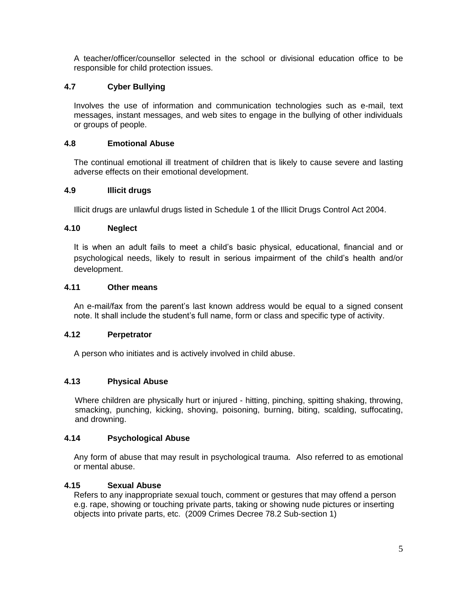A teacher/officer/counsellor selected in the school or divisional education office to be responsible for child protection issues.

# **4.7 Cyber Bullying**

Involves the use of information and communication technologies such as e-mail, text messages, instant messages, and web sites to engage in the bullying of other individuals or groups of people.

# **4.8 Emotional Abuse**

The continual emotional ill treatment of children that is likely to cause severe and lasting adverse effects on their emotional development.

# **4.9 Illicit drugs**

Illicit drugs are unlawful drugs listed in Schedule 1 of the Illicit Drugs Control Act 2004.

# **4.10 Neglect**

It is when an adult fails to meet a child's basic physical, educational, financial and or psychological needs, likely to result in serious impairment of the child's health and/or development.

# **4.11 Other means**

An e-mail/fax from the parent's last known address would be equal to a signed consent note. It shall include the student's full name, form or class and specific type of activity.

# **4.12 Perpetrator**

A person who initiates and is actively involved in child abuse.

# **4.13 Physical Abuse**

Where children are physically hurt or injured - hitting, pinching, spitting shaking, throwing, smacking, punching, kicking, shoving, poisoning, burning, biting, scalding, suffocating, and drowning.

# **4.14 Psychological Abuse**

Any form of abuse that may result in psychological trauma. Also referred to as emotional or mental abuse.

# **4.15 Sexual Abuse**

Refers to any inappropriate sexual touch, comment or gestures that may offend a person e.g. rape, showing or touching private parts, taking or showing nude pictures or inserting objects into private parts, etc. (2009 Crimes Decree 78.2 Sub-section 1)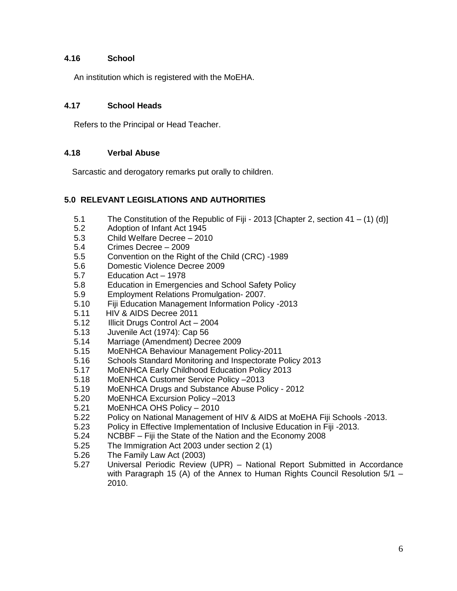# **4.16 School**

An institution which is registered with the MoEHA.

# **4.17 School Heads**

Refers to the Principal or Head Teacher.

# **4.18 Verbal Abuse**

Sarcastic and derogatory remarks put orally to children.

# **5.0 RELEVANT LEGISLATIONS AND AUTHORITIES**

- 5.1 The Constitution of the Republic of Fiji 2013 [Chapter 2, section 41 (1) (d)]
- 5.2 Adoption of Infant Act 1945
- 5.3 Child Welfare Decree 2010
- 5.4 Crimes Decree 2009
- 5.5 Convention on the Right of the Child (CRC) -1989
- 5.6 Domestic Violence Decree 2009
- 5.7 Education Act 1978
- 5.8 Education in Emergencies and School Safety Policy
- 5.9 Employment Relations Promulgation- 2007.
- 5.10 Fiji Education Management Information Policy -2013
- 5.11 HIV & AIDS Decree 2011
- 5.12 Illicit Drugs Control Act 2004
- 5.13 Juvenile Act (1974): Cap 56
- 5.14 Marriage (Amendment) Decree 2009
- 5.15 MoENHCA Behaviour Management Policy-2011
- 5.16 Schools Standard Monitoring and Inspectorate Policy 2013
- 5.17 MoENHCA Early Childhood Education Policy 2013
- 5.18 MoENHCA Customer Service Policy –2013
- 5.19 MoENHCA Drugs and Substance Abuse Policy 2012
- 5.20 MoENHCA Excursion Policy –2013
- 5.21 MoENHCA OHS Policy 2010
- 5.22 Policy on National Management of HIV & AIDS at MoEHA Fiji Schools -2013.
- 5.23 Policy in Effective Implementation of Inclusive Education in Fiji -2013.
- 5.24 NCBBF Fiji the State of the Nation and the Economy 2008
- 5.25 The Immigration Act 2003 under section 2 (1)
- 5.26 The Family Law Act (2003)
- 5.27 Universal Periodic Review (UPR) National Report Submitted in Accordance with Paragraph 15 (A) of the Annex to Human Rights Council Resolution 5/1 – 2010.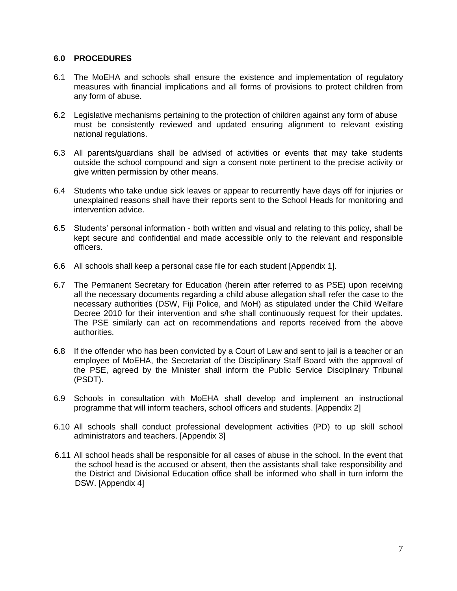# **6.0 PROCEDURES**

- 6.1 The MoEHA and schools shall ensure the existence and implementation of regulatory measures with financial implications and all forms of provisions to protect children from any form of abuse.
- 6.2 Legislative mechanisms pertaining to the protection of children against any form of abuse must be consistently reviewed and updated ensuring alignment to relevant existing national regulations.
- 6.3 All parents/guardians shall be advised of activities or events that may take students outside the school compound and sign a consent note pertinent to the precise activity or give written permission by other means.
- 6.4 Students who take undue sick leaves or appear to recurrently have days off for injuries or unexplained reasons shall have their reports sent to the School Heads for monitoring and intervention advice.
- 6.5 Students' personal information both written and visual and relating to this policy, shall be kept secure and confidential and made accessible only to the relevant and responsible officers.
- 6.6 All schools shall keep a personal case file for each student [Appendix 1].
- 6.7 The Permanent Secretary for Education (herein after referred to as PSE) upon receiving all the necessary documents regarding a child abuse allegation shall refer the case to the necessary authorities (DSW, Fiji Police, and MoH) as stipulated under the Child Welfare Decree 2010 for their intervention and s/he shall continuously request for their updates. The PSE similarly can act on recommendations and reports received from the above authorities.
- 6.8 If the offender who has been convicted by a Court of Law and sent to jail is a teacher or an employee of MoEHA, the Secretariat of the Disciplinary Staff Board with the approval of the PSE, agreed by the Minister shall inform the Public Service Disciplinary Tribunal (PSDT).
- 6.9 Schools in consultation with MoEHA shall develop and implement an instructional programme that will inform teachers, school officers and students. [Appendix 2]
- 6.10 All schools shall conduct professional development activities (PD) to up skill school administrators and teachers. [Appendix 3]
- 6.11 All school heads shall be responsible for all cases of abuse in the school. In the event that the school head is the accused or absent, then the assistants shall take responsibility and the District and Divisional Education office shall be informed who shall in turn inform the DSW. [Appendix 4]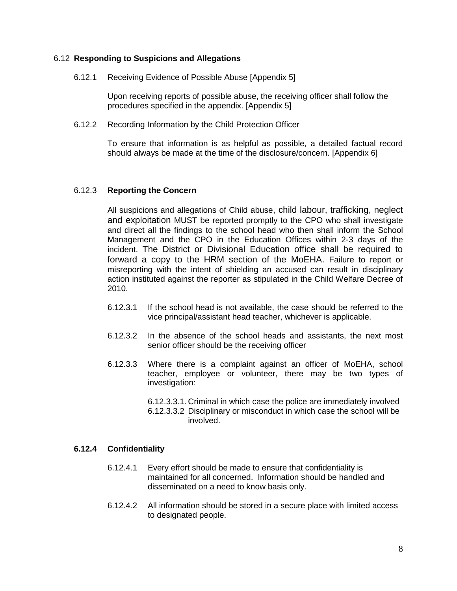#### 6.12 **Responding to Suspicions and Allegations**

#### 6.12.1 Receiving Evidence of Possible Abuse [Appendix 5]

Upon receiving reports of possible abuse, the receiving officer shall follow the procedures specified in the appendix. [Appendix 5]

6.12.2 Recording Information by the Child Protection Officer

To ensure that information is as helpful as possible, a detailed factual record should always be made at the time of the disclosure/concern. [Appendix 6]

#### 6.12.3 **Reporting the Concern**

All suspicions and allegations of Child abuse, child labour, trafficking, neglect and exploitation MUST be reported promptly to the CPO who shall investigate and direct all the findings to the school head who then shall inform the School Management and the CPO in the Education Offices within 2-3 days of the incident. The District or Divisional Education office shall be required to forward a copy to the HRM section of the MoEHA. Failure to report or misreporting with the intent of shielding an accused can result in disciplinary action instituted against the reporter as stipulated in the Child Welfare Decree of 2010.

- 6.12.3.1 If the school head is not available, the case should be referred to the vice principal/assistant head teacher, whichever is applicable.
- 6.12.3.2 In the absence of the school heads and assistants, the next most senior officer should be the receiving officer
- 6.12.3.3 Where there is a complaint against an officer of MoEHA, school teacher, employee or volunteer, there may be two types of investigation:
	- 6.12.3.3.1. Criminal in which case the police are immediately involved
	- 6.12.3.3.2 Disciplinary or misconduct in which case the school will be involved.

# **6.12.4 Confidentiality**

- 6.12.4.1 Every effort should be made to ensure that confidentiality is maintained for all concerned. Information should be handled and disseminated on a need to know basis only.
- 6.12.4.2 All information should be stored in a secure place with limited access to designated people.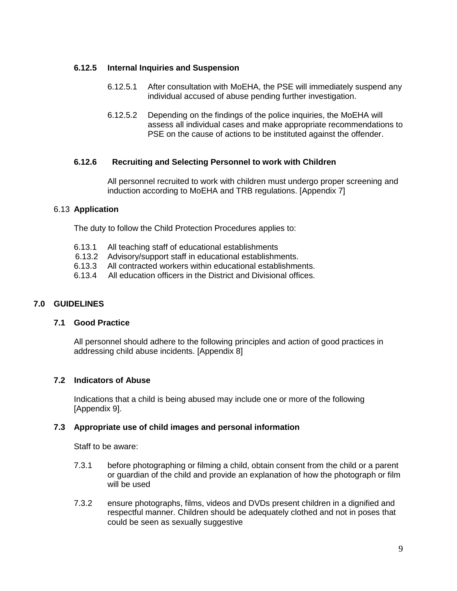# **6.12.5 Internal Inquiries and Suspension**

- 6.12.5.1 After consultation with MoEHA, the PSE will immediately suspend any individual accused of abuse pending further investigation.
- 6.12.5.2 Depending on the findings of the police inquiries, the MoEHA will assess all individual cases and make appropriate recommendations to PSE on the cause of actions to be instituted against the offender.

# **6.12.6 Recruiting and Selecting Personnel to work with Children**

All personnel recruited to work with children must undergo proper screening and induction according to MoEHA and TRB regulations. [Appendix 7]

# 6.13 **Application**

The duty to follow the Child Protection Procedures applies to:

- 6.13.1 All teaching staff of educational establishments
- 6.13.2 Advisory/support staff in educational establishments.
- 6.13.3 All contracted workers within educational establishments.
- 6.13.4 All education officers in the District and Divisional offices.

# **7.0 GUIDELINES**

# **7.1 Good Practice**

All personnel should adhere to the following principles and action of good practices in addressing child abuse incidents. [Appendix 8]

# **7.2 Indicators of Abuse**

Indications that a child is being abused may include one or more of the following [Appendix 9].

# **7.3 Appropriate use of child images and personal information**

Staff to be aware:

- 7.3.1 before photographing or filming a child, obtain consent from the child or a parent or guardian of the child and provide an explanation of how the photograph or film will be used
- 7.3.2 ensure photographs, films, videos and DVDs present children in a dignified and respectful manner. Children should be adequately clothed and not in poses that could be seen as sexually suggestive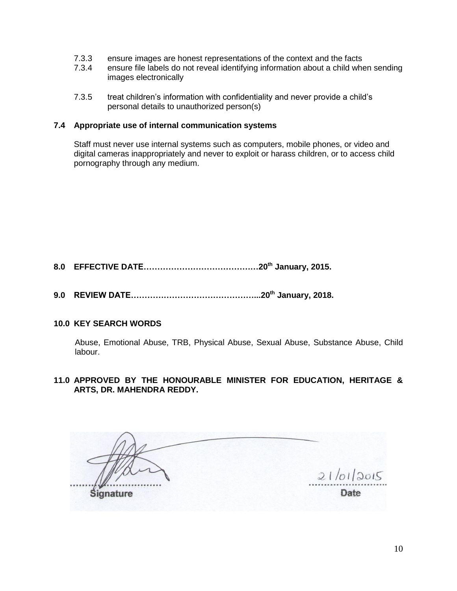- 7.3.3 ensure images are honest representations of the context and the facts
- 7.3.4 ensure file labels do not reveal identifying information about a child when sending images electronically
- 7.3.5 treat children's information with confidentiality and never provide a child's personal details to unauthorized person(s)

#### **7.4 Appropriate use of internal communication systems**

Staff must never use internal systems such as computers, mobile phones, or video and digital cameras inappropriately and never to exploit or harass children, or to access child pornography through any medium.

**8.0 EFFECTIVE DATE……………………………………20th January, 2015.**

**9.0 REVIEW DATE………………………………………...20th January, 2018.**

# **10.0 KEY SEARCH WORDS**

Abuse, Emotional Abuse, TRB, Physical Abuse, Sexual Abuse, Substance Abuse, Child labour.

**11.0 APPROVED BY THE HONOURABLE MINISTER FOR EDUCATION, HERITAGE & ARTS, DR. MAHENDRA REDDY.**

 $21/01/2015$ **Date Signature**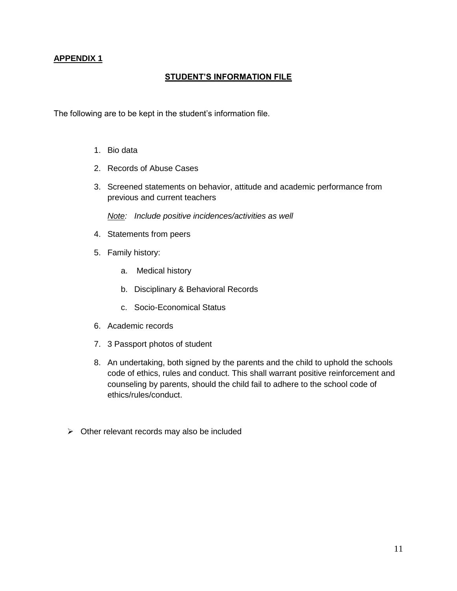# **STUDENT'S INFORMATION FILE**

The following are to be kept in the student's information file.

- 1. Bio data
- 2. Records of Abuse Cases
- 3. Screened statements on behavior, attitude and academic performance from previous and current teachers

*Note: Include positive incidences/activities as well*

- 4. Statements from peers
- 5. Family history:
	- a. Medical history
	- b. Disciplinary & Behavioral Records
	- c. Socio-Economical Status
- 6. Academic records
- 7. 3 Passport photos of student
- 8. An undertaking, both signed by the parents and the child to uphold the schools code of ethics, rules and conduct. This shall warrant positive reinforcement and counseling by parents, should the child fail to adhere to the school code of ethics/rules/conduct.
- $\triangleright$  Other relevant records may also be included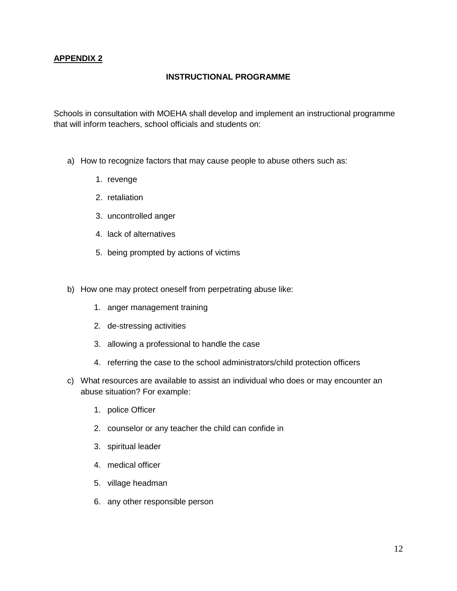# **INSTRUCTIONAL PROGRAMME**

Schools in consultation with MOEHA shall develop and implement an instructional programme that will inform teachers, school officials and students on:

- a) How to recognize factors that may cause people to abuse others such as:
	- 1. revenge
	- 2. retaliation
	- 3. uncontrolled anger
	- 4. lack of alternatives
	- 5. being prompted by actions of victims
- b) How one may protect oneself from perpetrating abuse like:
	- 1. anger management training
	- 2. de-stressing activities
	- 3. allowing a professional to handle the case
	- 4. referring the case to the school administrators/child protection officers
- c) What resources are available to assist an individual who does or may encounter an abuse situation? For example:
	- 1. police Officer
	- 2. counselor or any teacher the child can confide in
	- 3. spiritual leader
	- 4. medical officer
	- 5. village headman
	- 6. any other responsible person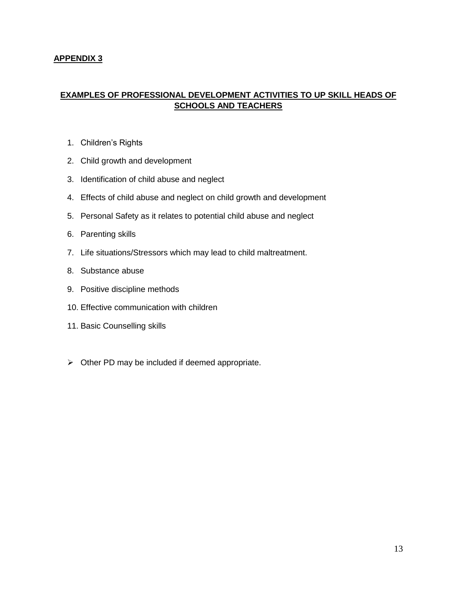# **EXAMPLES OF PROFESSIONAL DEVELOPMENT ACTIVITIES TO UP SKILL HEADS OF SCHOOLS AND TEACHERS**

- 1. Children's Rights
- 2. Child growth and development
- 3. Identification of child abuse and neglect
- 4. Effects of child abuse and neglect on child growth and development
- 5. Personal Safety as it relates to potential child abuse and neglect
- 6. Parenting skills
- 7. Life situations/Stressors which may lead to child maltreatment.
- 8. Substance abuse
- 9. Positive discipline methods
- 10. Effective communication with children
- 11. Basic Counselling skills
- $\triangleright$  Other PD may be included if deemed appropriate.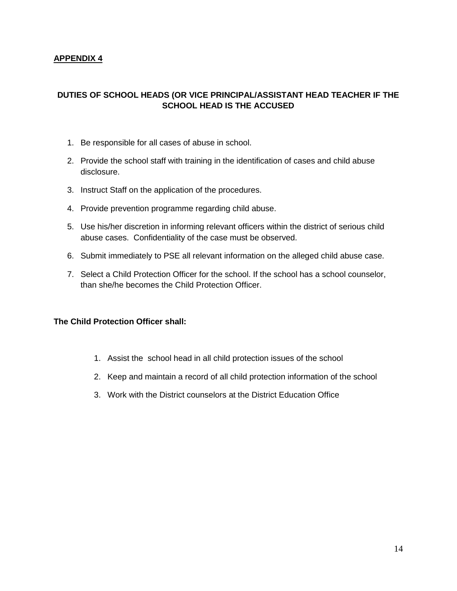# **DUTIES OF SCHOOL HEADS (OR VICE PRINCIPAL/ASSISTANT HEAD TEACHER IF THE SCHOOL HEAD IS THE ACCUSED**

- 1. Be responsible for all cases of abuse in school.
- 2. Provide the school staff with training in the identification of cases and child abuse disclosure.
- 3. Instruct Staff on the application of the procedures.
- 4. Provide prevention programme regarding child abuse.
- 5. Use his/her discretion in informing relevant officers within the district of serious child abuse cases. Confidentiality of the case must be observed.
- 6. Submit immediately to PSE all relevant information on the alleged child abuse case.
- 7. Select a Child Protection Officer for the school. If the school has a school counselor, than she/he becomes the Child Protection Officer.

# **The Child Protection Officer shall:**

- 1. Assist the school head in all child protection issues of the school
- 2. Keep and maintain a record of all child protection information of the school
- 3. Work with the District counselors at the District Education Office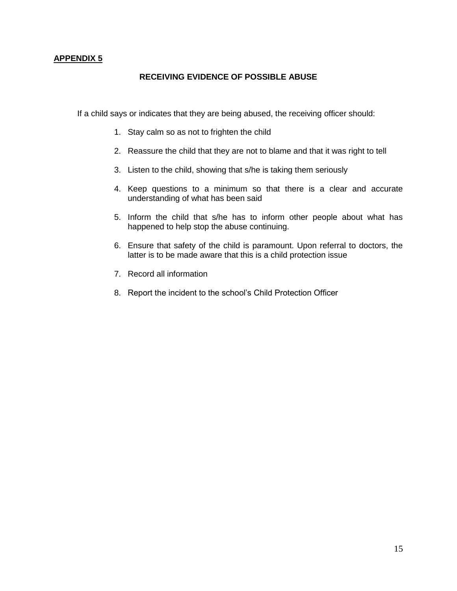#### **RECEIVING EVIDENCE OF POSSIBLE ABUSE**

If a child says or indicates that they are being abused, the receiving officer should:

- 1. Stay calm so as not to frighten the child
- 2. Reassure the child that they are not to blame and that it was right to tell
- 3. Listen to the child, showing that s/he is taking them seriously
- 4. Keep questions to a minimum so that there is a clear and accurate understanding of what has been said
- 5. Inform the child that s/he has to inform other people about what has happened to help stop the abuse continuing.
- 6. Ensure that safety of the child is paramount. Upon referral to doctors, the latter is to be made aware that this is a child protection issue
- 7. Record all information
- 8. Report the incident to the school's Child Protection Officer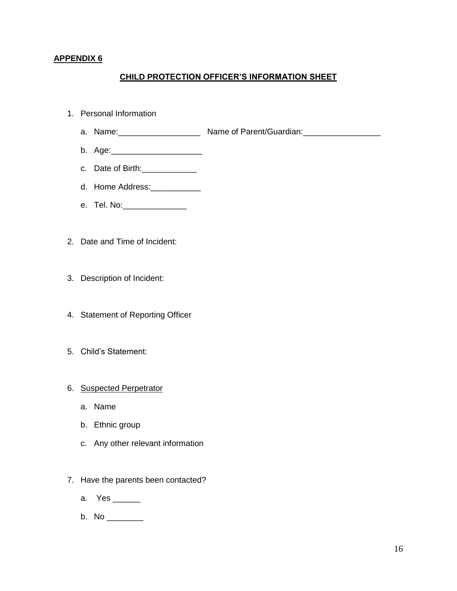# **CHILD PROTECTION OFFICER'S INFORMATION SHEET**

- 1. Personal Information
	- a. Name: \_\_\_\_\_\_\_\_\_\_\_\_\_\_\_\_\_\_\_\_ Name of Parent/Guardian:
	- b. Age:\_\_\_\_\_\_\_\_\_\_\_\_\_\_\_\_\_\_\_\_
	- c. Date of Birth:\_\_\_\_\_\_\_\_\_\_\_\_
	- d. Home Address:\_\_\_\_\_\_\_\_\_\_\_
	- e. Tel. No: \_\_\_\_\_\_\_\_\_\_\_\_\_\_\_\_\_\_
- 2. Date and Time of Incident:
- 3. Description of Incident:
- 4. Statement of Reporting Officer
- 5. Child's Statement:

#### 6. Suspected Perpetrator

- a. Name
- b. Ethnic group
- c. Any other relevant information
- 7. Have the parents been contacted?
	- a. Yes \_\_\_\_\_\_
	- b. No \_\_\_\_\_\_\_\_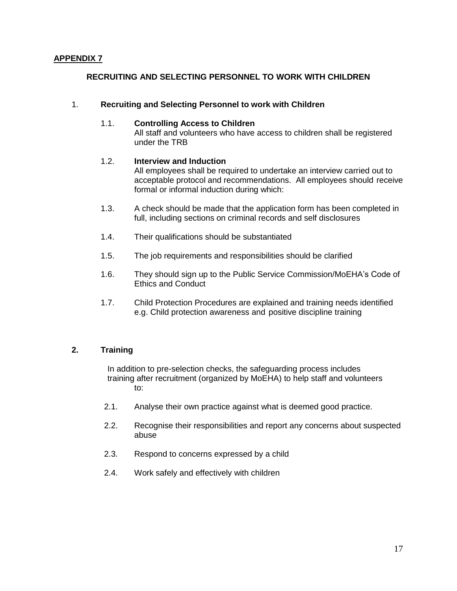# **RECRUITING AND SELECTING PERSONNEL TO WORK WITH CHILDREN**

#### 1. **Recruiting and Selecting Personnel to work with Children**

#### 1.1. **Controlling Access to Children**

All staff and volunteers who have access to children shall be registered under the TRB

# 1.2. **Interview and Induction**

All employees shall be required to undertake an interview carried out to acceptable protocol and recommendations. All employees should receive formal or informal induction during which:

- 1.3. A check should be made that the application form has been completed in full, including sections on criminal records and self disclosures
- 1.4. Their qualifications should be substantiated
- 1.5. The job requirements and responsibilities should be clarified
- 1.6. They should sign up to the Public Service Commission/MoEHA's Code of Ethics and Conduct
- 1.7. Child Protection Procedures are explained and training needs identified e.g. Child protection awareness and positive discipline training

# **2. Training**

In addition to pre-selection checks, the safeguarding process includes training after recruitment (organized by MoEHA) to help staff and volunteers to:

- 2.1. Analyse their own practice against what is deemed good practice.
- 2.2. Recognise their responsibilities and report any concerns about suspected abuse
- 2.3. Respond to concerns expressed by a child
- 2.4. Work safely and effectively with children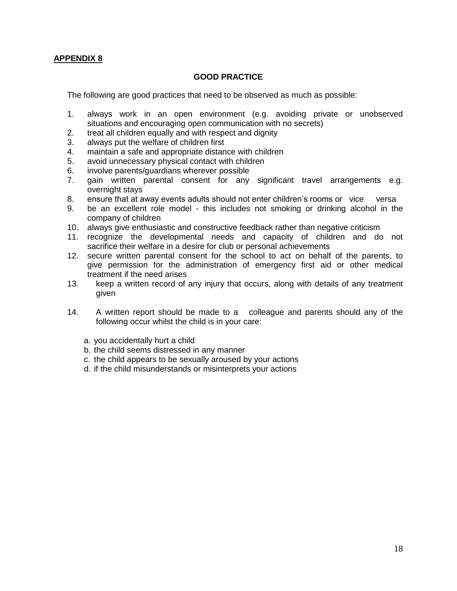#### **GOOD PRACTICE**

The following are good practices that need to be observed as much as possible:

- 1. always work in an open environment (e.g. avoiding private or unobserved situations and encouraging open communication with no secrets)
- 2. treat all children equally and with respect and dignity
- 3. always put the welfare of children first
- 4. maintain a safe and appropriate distance with children
- 5. avoid unnecessary physical contact with children
- 6. involve parents/guardians wherever possible
- 7. gain written parental consent for any significant travel arrangements e.g. overnight stays
- 8. ensure that at away events adults should not enter children's rooms or vice versa
- 9. be an excellent role model this includes not smoking or drinking alcohol in the company of children
- 10. always give enthusiastic and constructive feedback rather than negative criticism
- 11. recognize the developmental needs and capacity of children and do not sacrifice their welfare in a desire for club or personal achievements
- 12. secure written parental consent for the school to act on behalf of the parents, to give permission for the administration of emergency first aid or other medical treatment if the need arises
- 13. keep a written record of any injury that occurs, along with details of any treatment given
- 14. A written report should be made to a colleague and parents should any of the following occur whilst the child is in your care:
	- a. you accidentally hurt a child
	- b. the child seems distressed in any manner
	- c. the child appears to be sexually aroused by your actions
	- d. if the child misunderstands or misinterprets your actions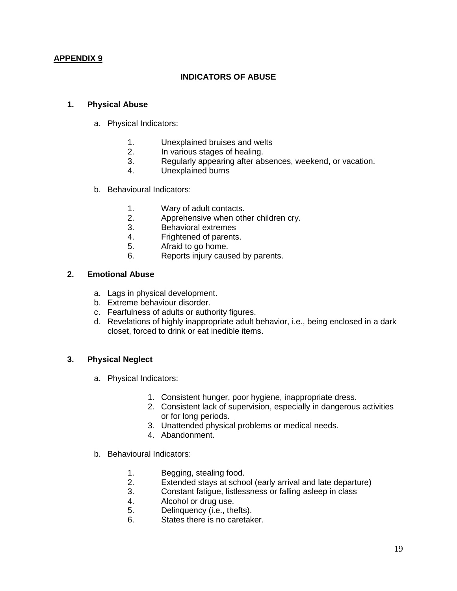# **INDICATORS OF ABUSE**

### **1. Physical Abuse**

- a. Physical Indicators:
	- 1. Unexplained bruises and welts
	- 2. In various stages of healing.<br>3. Regularly appearing after ab
	- Regularly appearing after absences, weekend, or vacation.
	- 4. Unexplained burns
- b. Behavioural Indicators:
	- 1. Wary of adult contacts.
	- 2. Apprehensive when other children cry.
	- 3. Behavioral extremes
	- 4. Frightened of parents.
	- 5. Afraid to go home.
	- 6. Reports injury caused by parents.

# **2. Emotional Abuse**

- a. Lags in physical development.
- b. Extreme behaviour disorder.
- c. Fearfulness of adults or authority figures.
- d. Revelations of highly inappropriate adult behavior, i.e., being enclosed in a dark closet, forced to drink or eat inedible items.

# **3. Physical Neglect**

- a. Physical Indicators:
	- 1. Consistent hunger, poor hygiene, inappropriate dress.
	- 2. Consistent lack of supervision, especially in dangerous activities or for long periods.
	- 3. Unattended physical problems or medical needs.
	- 4. Abandonment.
- b. Behavioural Indicators:
	- 1. Begging, stealing food.
	- 2. Extended stays at school (early arrival and late departure)
	- 3. Constant fatigue, listlessness or falling asleep in class
	- 4. Alcohol or drug use.
	- 5. Delinquency (i.e., thefts).
	- 6. States there is no caretaker.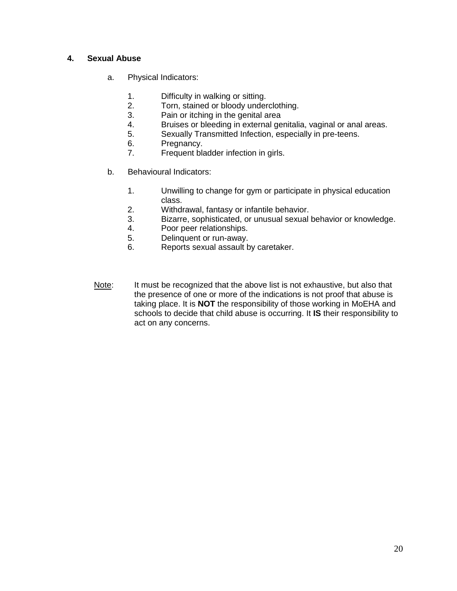# **4. Sexual Abuse**

- a. Physical Indicators:
	- 1. Difficulty in walking or sitting.
	- 2. Torn, stained or bloody underclothing.
	- 3. Pain or itching in the genital area
	- 4. Bruises or bleeding in external genitalia, vaginal or anal areas.
	- 5. Sexually Transmitted Infection, especially in pre-teens.
	- 6. Pregnancy.<br>7. Frequent bla
	- Frequent bladder infection in girls.
- b. Behavioural Indicators:
	- 1. Unwilling to change for gym or participate in physical education class.
	- 2. Withdrawal, fantasy or infantile behavior.
	- 3. Bizarre, sophisticated, or unusual sexual behavior or knowledge.
	- 4. Poor peer relationships.
	- 5. Delinquent or run-away.
	- 6. Reports sexual assault by caretaker.
- Note: It must be recognized that the above list is not exhaustive, but also that the presence of one or more of the indications is not proof that abuse is taking place. It is **NOT** the responsibility of those working in MoEHA and schools to decide that child abuse is occurring. It **IS** their responsibility to act on any concerns.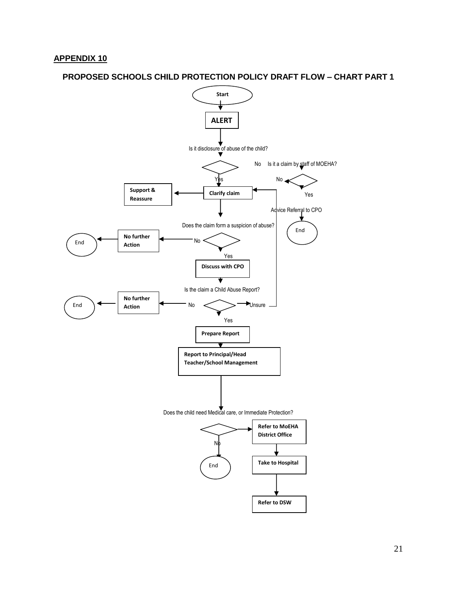#### **PROPOSED SCHOOLS CHILD PROTECTION POLICY DRAFT FLOW – CHART PART 1**